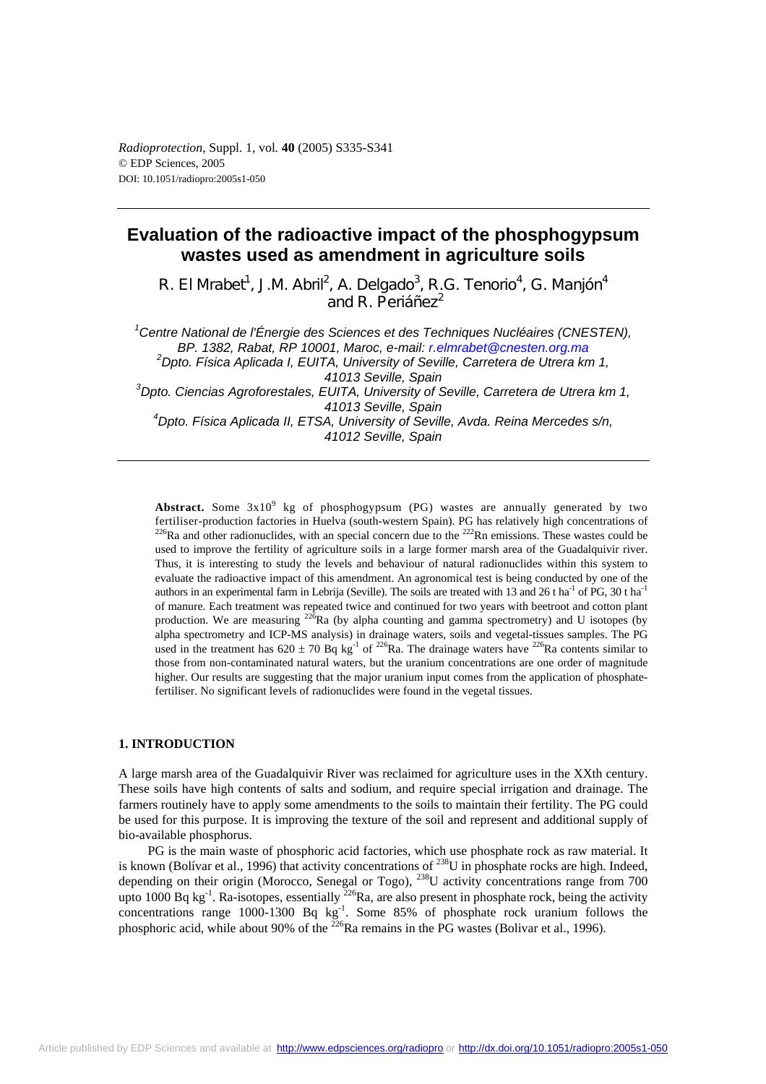# **Evaluation of the radioactive impact of the phosphogypsum wastes used as amendment in agriculture soils**

R. El Mrabet<sup>1</sup>, J.M. Abril<sup>2</sup>, A. Delgado<sup>3</sup>, R.G. Tenorio<sup>4</sup>, G. Manjón<sup>4</sup> and R. Periáñez $2^2$ 

<sup>1</sup> Centre National de l'Énergie des Sciences et des Techniques Nucléaires (CNESTEN), *BP. 1382, Rabat, RP 10001, Maroc, e-mail: r.elmrabet@cnesten.org.ma <sup>2</sup> Dpto. Física Aplicada I, EUITA, University of Seville, Carretera de Utrera km 1, 41013 Seville, Spain 3 Dpto. Ciencias Agroforestales, EUITA, University of Seville, Carretera de Utrera km 1, 41013 Seville, Spain 4 Dpto. Física Aplicada II, ETSA, University of Seville, Avda. Reina Mercedes s/n,* 

*41012 Seville, Spain* 

**Abstract.** Some  $3x10^9$  kg of phosphogypsum (PG) wastes are annually generated by two fertiliser-production factories in Huelva (south-western Spain). PG has relatively high concentrations of  $^{226}$ Ra and other radionuclides, with an special concern due to the  $^{222}$ Rn emissions. These wastes could be used to improve the fertility of agriculture soils in a large former marsh area of the Guadalquivir river. Thus, it is interesting to study the levels and behaviour of natural radionuclides within this system to evaluate the radioactive impact of this amendment. An agronomical test is being conducted by one of the authors in an experimental farm in Lebrija (Seville). The soils are treated with 13 and 26 t ha<sup>-1</sup> of PG, 30 t ha<sup>-1</sup> of manure. Each treatment was repeated twice and continued for two years with beetroot and cotton plant production. We are measuring  $^{226}$ Ra (by alpha counting and gamma spectrometry) and U isotopes (by alpha spectrometry and ICP-MS analysis) in drainage waters, soils and vegetal-tissues samples. The PG used in the treatment has  $620 \pm 70$  Bq kg<sup>-1</sup> of <sup>226</sup>Ra. The drainage waters have <sup>226</sup>Ra contents similar to those from non-contaminated natural waters, but the uranium concentrations are one order of magnitude higher. Our results are suggesting that the major uranium input comes from the application of phosphatefertiliser. No significant levels of radionuclides were found in the vegetal tissues.

## **1. INTRODUCTION**

A large marsh area of the Guadalquivir River was reclaimed for agriculture uses in the XXth century. These soils have high contents of salts and sodium, and require special irrigation and drainage. The farmers routinely have to apply some amendments to the soils to maintain their fertility. The PG could be used for this purpose. It is improving the texture of the soil and represent and additional supply of bio-available phosphorus.

PG is the main waste of phosphoric acid factories, which use phosphate rock as raw material. It is known (Bolívar et al., 1996) that activity concentrations of  $^{238}$ U in phosphate rocks are high. Indeed, depending on their origin (Morocco, Senegal or Togo),  $^{238}$ U activity concentrations range from 700 upto 1000 Bq kg<sup>-1</sup>. Ra-isotopes, essentially  $^{226}$ Ra, are also present in phosphate rock, being the activity concentrations range  $1000-1300$  Bq kg<sup>-1</sup>. Some  $85\%$  of phosphate rock uranium follows the phosphoric acid, while about 90% of the  $^{226}$ Ra remains in the PG wastes (Bolivar et al., 1996).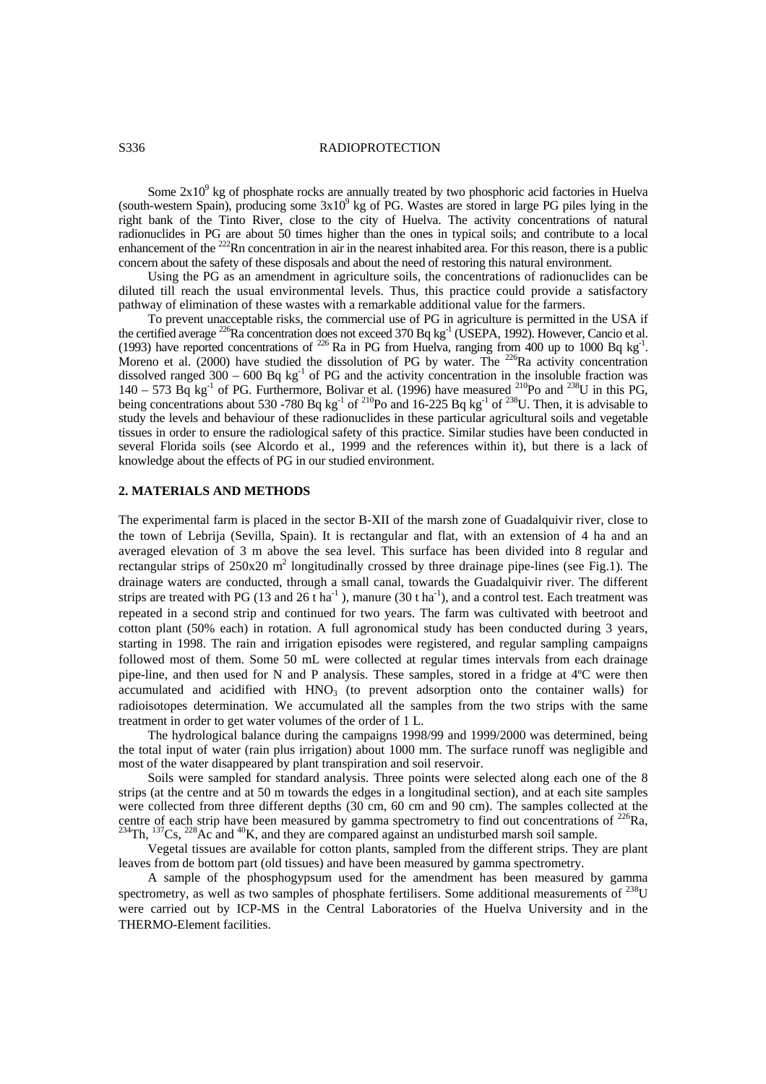## S336 RADIOPROTECTION

Some  $2x10<sup>9</sup>$  kg of phosphate rocks are annually treated by two phosphoric acid factories in Huelva (south-western Spain), producing some  $3x10^9$  kg of PG. Wastes are stored in large PG piles lying in the right bank of the Tinto River, close to the city of Huelva. The activity concentrations of natural radionuclides in PG are about 50 times higher than the ones in typical soils; and contribute to a local enhancement of the <sup>222</sup>Rn concentration in air in the nearest inhabited area. For this reason, there is a public concern about the safety of these disposals and about the need of restoring this natural environment.

Using the PG as an amendment in agriculture soils, the concentrations of radionuclides can be diluted till reach the usual environmental levels. Thus, this practice could provide a satisfactory pathway of elimination of these wastes with a remarkable additional value for the farmers.

To prevent unacceptable risks, the commercial use of PG in agriculture is permitted in the USA if the certified average  $^{226}$ Ra concentration does not exceed 370 Bq kg<sup>-1</sup> (USEPA, 1992). However, Cancio et al. (1993) have reported concentrations of  $^{226}$  Ra in PG from Huelva, ranging from 400 up to 1000 Bq kg<sup>-1</sup>. Moreno et al. (2000) have studied the dissolution of PG by water. The  $^{226}$ Ra activity concentration dissolved ranged  $300 - 600$  Bq kg<sup>-1</sup> of PG and the activity concentration in the insoluble fraction was  $140 - 573$  Bq kg<sup>-1</sup> of PG. Furthermore, Bolivar et al. (1996) have measured <sup>210</sup>Po and <sup>238</sup>U in this PG, being concentrations about 530 -780 Bq kg<sup>-1</sup> of <sup>210</sup>Po and 16-225 Bq kg<sup>-1</sup> of <sup>238</sup>U. Then, it is advisable to study the levels and behaviour of these radionuclides in these particular agricultural soils and vegetable tissues in order to ensure the radiological safety of this practice. Similar studies have been conducted in several Florida soils (see Alcordo et al., 1999 and the references within it), but there is a lack of knowledge about the effects of PG in our studied environment.

## **2. MATERIALS AND METHODS**

The experimental farm is placed in the sector B-XII of the marsh zone of Guadalquivir river, close to the town of Lebrija (Sevilla, Spain). It is rectangular and flat, with an extension of 4 ha and an averaged elevation of 3 m above the sea level. This surface has been divided into 8 regular and rectangular strips of  $250x20$  m<sup>2</sup> longitudinally crossed by three drainage pipe-lines (see Fig.1). The drainage waters are conducted, through a small canal, towards the Guadalquivir river. The different strips are treated with PG (13 and 26 t ha<sup>-1</sup>), manure (30 t ha<sup>-1</sup>), and a control test. Each treatment was repeated in a second strip and continued for two years. The farm was cultivated with beetroot and cotton plant (50% each) in rotation. A full agronomical study has been conducted during 3 years, starting in 1998. The rain and irrigation episodes were registered, and regular sampling campaigns followed most of them. Some 50 mL were collected at regular times intervals from each drainage pipe-line, and then used for N and P analysis. These samples, stored in a fridge at 4ºC were then accumulated and acidified with  $HNO<sub>3</sub>$  (to prevent adsorption onto the container walls) for radioisotopes determination. We accumulated all the samples from the two strips with the same treatment in order to get water volumes of the order of 1 L.

The hydrological balance during the campaigns 1998/99 and 1999/2000 was determined, being the total input of water (rain plus irrigation) about 1000 mm. The surface runoff was negligible and most of the water disappeared by plant transpiration and soil reservoir.

Soils were sampled for standard analysis. Three points were selected along each one of the 8 strips (at the centre and at 50 m towards the edges in a longitudinal section), and at each site samples were collected from three different depths (30 cm, 60 cm and 90 cm). The samples collected at the centre of each strip have been measured by gamma spectrometry to find out concentrations of <sup>226</sup>Ra,  $^{234}$ Th,  $^{137}$ Cs,  $^{228}$ Ac and <sup>40</sup>K, and they are compared against an undisturbed marsh soil sample.

Vegetal tissues are available for cotton plants, sampled from the different strips. They are plant leaves from de bottom part (old tissues) and have been measured by gamma spectrometry.

A sample of the phosphogypsum used for the amendment has been measured by gamma spectrometry, as well as two samples of phosphate fertilisers. Some additional measurements of <sup>238</sup>U were carried out by ICP-MS in the Central Laboratories of the Huelva University and in the THERMO-Element facilities.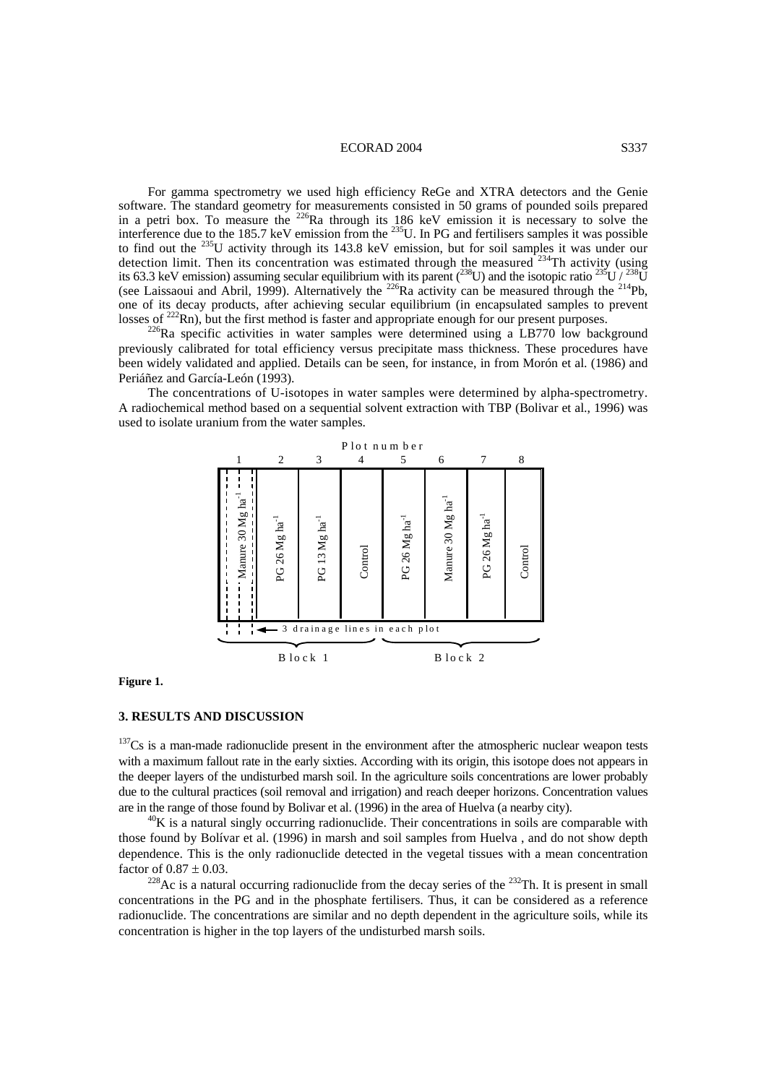## ECORAD 2004 S337

For gamma spectrometry we used high efficiency ReGe and XTRA detectors and the Genie software. The standard geometry for measurements consisted in 50 grams of pounded soils prepared in a petri box. To measure the <sup>226</sup>Ra through its 186 keV emission it is necessary to solve the interference due to the 185.7 keV emission from the <sup>235</sup>U. In PG and fertilisers samples it was possible to find out the <sup>235</sup>U activity through its 143.8 keV emission, but for soil samples it was under our detection limit. Then its concentration was estimated through the measured  $234$ Th activity (using its 63.3 keV emission) assuming secular equilibrium with its parent (<sup>238</sup>U) and the isotopic ratio  $^{235}$ U /  $^{238}$ U (see Laissaoui and Abril, 1999). Alternatively the <sup>226</sup>Ra activity can be measured through the <sup>214</sup>Pb, one of its decay products, after achieving secular equilibrium (in encapsulated samples to prevent losses of  $^{222}$ Rn), but the first method is faster and appropriate enough for our present purposes.

 $226$ Ra specific activities in water samples were determined using a LB770 low background previously calibrated for total efficiency versus precipitate mass thickness. These procedures have been widely validated and applied. Details can be seen, for instance, in from Morón et al. (1986) and Periáñez and García-León (1993).

The concentrations of U-isotopes in water samples were determined by alpha-spectrometry. A radiochemical method based on a sequential solvent extraction with TBP (Bolivar et al., 1996) was used to isolate uranium from the water samples.



**Figure 1.** 

## **3. RESULTS AND DISCUSSION**

<sup>137</sup>Cs is a man-made radionuclide present in the environment after the atmospheric nuclear weapon tests with a maximum fallout rate in the early sixties. According with its origin, this isotope does not appears in the deeper layers of the undisturbed marsh soil. In the agriculture soils concentrations are lower probably due to the cultural practices (soil removal and irrigation) and reach deeper horizons. Concentration values are in the range of those found by Bolivar et al. (1996) in the area of Huelva (a nearby city).<br><sup>40</sup>K is a natural singly occurring radionuclide. Their concentrations in soils are comparable with

those found by Bolívar et al. (1996) in marsh and soil samples from Huelva , and do not show depth dependence. This is the only radionuclide detected in the vegetal tissues with a mean concentration factor of  $0.87 \pm 0.03$ .<br><sup>228</sup>Ac is a natural occurring radionuclide from the decay series of the <sup>232</sup>Th. It is present in small

concentrations in the PG and in the phosphate fertilisers. Thus, it can be considered as a reference radionuclide. The concentrations are similar and no depth dependent in the agriculture soils, while its concentration is higher in the top layers of the undisturbed marsh soils.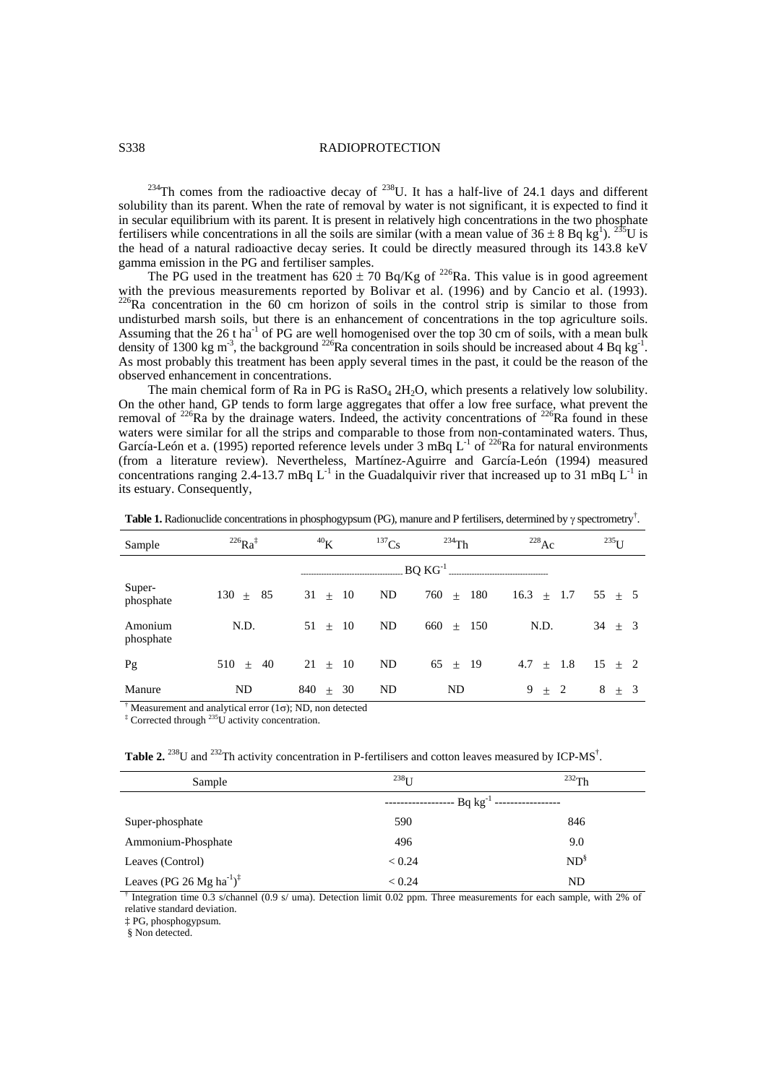## S338 RADIOPROTECTION

<sup>234</sup>Th comes from the radioactive decay of <sup>238</sup>U. It has a half-live of 24.1 days and different solubility than its parent. When the rate of removal by water is not significant, it is expected to find it in secular equilibrium with its parent. It is present in relatively high concentrations in the two phosphate fertilisers while concentrations in all the soils are similar (with a mean value of  $36 \pm 8$  Bq kg<sup>1</sup>). <sup>235</sup>U is the head of a natural radioactive decay series. It could be directly measured through its 143.8 keV gamma emission in the PG and fertiliser samples.

The PG used in the treatment has  $620 \pm 70$  Bq/Kg of <sup>226</sup>Ra. This value is in good agreement with the previous measurements reported by Bolivar et al. (1996) and by Cancio et al. (1993).  $226$ Ra concentration in the 60 cm horizon of soils in the control strip is similar to those from undisturbed marsh soils, but there is an enhancement of concentrations in the top agriculture soils. Assuming that the 26 t ha<sup>-1</sup> of PG are well homogenised over the top 30 cm of soils, with a mean bulk density of 1300 kg m<sup>-3</sup>, the background <sup>226</sup>Ra concentration in soils should be increased about 4 Bq kg<sup>-1</sup>. As most probably this treatment has been apply several times in the past, it could be the reason of the observed enhancement in concentrations.

The main chemical form of Ra in PG is  $RASO<sub>4</sub> 2H<sub>2</sub>O$ , which presents a relatively low solubility. On the other hand, GP tends to form large aggregates that offer a low free surface, what prevent the removal of  $^{226}$ Ra by the drainage waters. Indeed, the activity concentrations of  $^{226}$ Ra found in these waters were similar for all the strips and comparable to those from non-contaminated waters. Thus, García-León et a. (1995) reported reference levels under  $3 \text{ mBg L}^{-1}$  of  $^{226}\text{Ra}$  for natural environments (from a literature review). Nevertheless, Martínez-Aguirre and García-León (1994) measured concentrations ranging 2.4-13.7 mBq L<sup>-1</sup> in the Guadalquivir river that increased up to 31 mBq L<sup>-1</sup> in its estuary. Consequently,

| Sample               | $^{226}Ra^{\ddagger}$ | 40 <sub>K</sub> | $^{137}Cs$ | $^{234}$ Th | $228$ Ac       | $^{235}$ U |  |
|----------------------|-----------------------|-----------------|------------|-------------|----------------|------------|--|
|                      |                       |                 |            |             |                |            |  |
| Super-<br>phosphate  | $130 + 85$            | $31 + 10$       | <b>ND</b>  | $760 + 180$ | $16.3 \pm 1.7$ | $55 + 5$   |  |
| Amonium<br>phosphate | N.D.                  | $51 + 10$       | <b>ND</b>  | $660 + 150$ | N.D.           | $34 + 3$   |  |
| Pg                   | $510 + 40$            | $21 \pm 10$     | <b>ND</b>  | $65 \pm 19$ | $4.7 \pm 1.8$  | $15 + 2$   |  |
| Manure               | ND                    | $840 + 30$      | ND         | ND          | $+2$<br>9      | $8 + 3$    |  |

**Table 1.** Radionuclide concentrations in phosphogypsum (PG), manure and P fertilisers, determined by γ spectrometry<sup>†</sup>.

<sup>†</sup> Measurement and analytical error  $(1\sigma)$ ; ND, non detected

<sup>‡</sup> Corrected through <sup>235</sup>U activity concentration.

Table 2. <sup>238</sup>U and <sup>232</sup>Th activity concentration in P-fertilisers and cotton leaves measured by ICP-MS<sup>†</sup>.

| Sample                                                                                                                             | $^{238}$ I I | $232$ Th                                 |
|------------------------------------------------------------------------------------------------------------------------------------|--------------|------------------------------------------|
|                                                                                                                                    |              | - Bq kg <sup>-1</sup> ------------------ |
| Super-phosphate                                                                                                                    | 590          | 846                                      |
| Ammonium-Phosphate                                                                                                                 | 496          | 9.0                                      |
| Leaves (Control)                                                                                                                   | < 0.24       | $ND^{\S}$                                |
| Leaves (PG 26 Mg ha <sup>-1</sup> ) <sup><math>\ddagger</math></sup>                                                               | < 0.24       | ND.                                      |
| <sup>†</sup> Integration time 0.3 s/channel (0.9 s/ uma). Detection limit 0.02 ppm. Three measurements for each sample, with 2% of |              |                                          |

relative standard deviation.

‡ PG, phosphogypsum.

§ Non detected.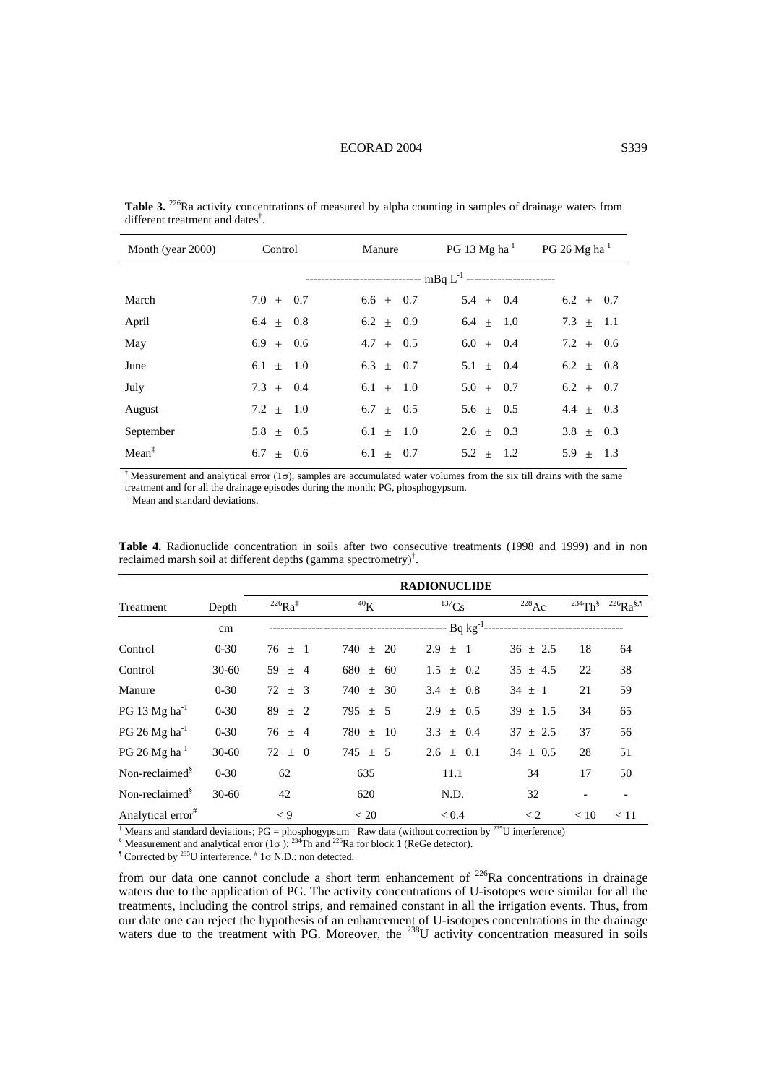#### ECORAD 2004 S339

| Month (year 2000) | Control       | Manure                                                                      | PG 13 $Mg$ ha <sup>-1</sup> | $PG 26 Mg ha^{-1}$ |  |
|-------------------|---------------|-----------------------------------------------------------------------------|-----------------------------|--------------------|--|
|                   |               | ------------------------------- mBq L <sup>-1</sup> ----------------------- |                             |                    |  |
| March             | $7.0 \pm 0.7$ | $6.6 \pm 0.7$                                                               | $5.4 \pm 0.4$               | $6.2 \pm 0.7$      |  |
| April             | $6.4 \pm 0.8$ | $6.2 \pm 0.9$                                                               | $6.4 \pm 1.0$               | $7.3 + 1.1$        |  |
| May               | $6.9 \pm 0.6$ | $4.7 \pm 0.5$                                                               | $6.0 + 0.4$                 | $7.2 \pm 0.6$      |  |
| June              | $6.1 \pm 1.0$ | $6.3 + 0.7$                                                                 | $5.1 \pm 0.4$               | $6.2 \pm 0.8$      |  |
| July              | $7.3 \pm 0.4$ | $6.1 \pm 1.0$                                                               | $5.0 + 0.7$                 | $6.2 \pm 0.7$      |  |
| August            | $7.2 \pm 1.0$ | $6.7 + 0.5$                                                                 | $5.6 + 0.5$                 | $4.4 \pm 0.3$      |  |
| September         | $5.8 \pm 0.5$ | $6.1 \pm 1.0$                                                               | $2.6 \pm 0.3$               | $3.8 + 0.3$        |  |
| $Mean^{\ddagger}$ | $6.7 + 0.6$   | $6.1 + 0.7$                                                                 | $5.2 + 1.2$                 | $5.9 \pm 1.3$      |  |

**Table 3.** <sup>226</sup>Ra activity concentrations of measured by alpha counting in samples of drainage waters from different treatment and dates† .

<sup>†</sup> Measurement and analytical error (1 $\sigma$ ), samples are accumulated water volumes from the six till drains with the same treatment and for all the drainage episodes during the month; PG, phosphogypsum.

‡ Mean and standard deviations.

|                               |           | <b>RADIONUCLIDE</b>   |                      |                           |                   |      |                                |
|-------------------------------|-----------|-----------------------|----------------------|---------------------------|-------------------|------|--------------------------------|
| Treatment                     | Depth     | $^{226}Ra^{\ddagger}$ | 40 <sub>K</sub>      | $^{137}Cs$                | $^{228}$ Ac       |      | $^{234}Th^8$ $^{226}Ra^{8,\P}$ |
|                               | cm        |                       |                      | -- Bq kg <sup>-1</sup> -- |                   |      |                                |
| Control                       | $0 - 30$  | $76 \pm 1$            | 740<br>20<br>$\pm$   | $2.9 \pm 1$               | $36 \pm 2.5$      | 18   | 64                             |
| Control                       | $30-60$   | 59 $\pm$ 4            | 680<br>60<br>$\pm$   | $1.5 \pm 0.2$             | $35 \pm 4.5$      | 22   | 38                             |
| Manure                        | $0 - 30$  | $72 \pm 3$            | 740<br>- 30<br>$\pm$ | 3.4 $\pm$ 0.8             | $34 \pm 1$        | 21   | 59                             |
| $PG 13 Mg ha^{-1}$            | $0 - 30$  | $89 \pm 2$            | $795 \pm 5$          | $2.9 \pm 0.5$             | $39 \pm 1.5$      | 34   | 65                             |
| $PG 26 Mg ha^{-1}$            | $0 - 30$  | $76 \pm 4$            | $780 \pm 10$         | 3.3 $\pm$ 0.4             | $37 \pm 2.5$      | 37   | 56                             |
| $PG 26 Mg ha^{-1}$            | $30 - 60$ | $72 \pm 0$            | $745 \pm 5$          | $2.6 \pm 0.1$             | $34 \pm 0.5$      | 28   | 51                             |
| Non-reclaimed <sup>§</sup>    | $0 - 30$  | 62                    | 635                  | 11.1                      | 34                | 17   | 50                             |
| Non-reclaimed <sup>§</sup>    | $30-60$   | 42                    | 620                  | N.D.                      | 32                |      |                                |
| Analytical error <sup>#</sup> |           | $\lt 9$               | < 20                 | < 0.4                     | $\lt 2$<br>$\sim$ | < 10 | < 11                           |

**Table 4.** Radionuclide concentration in soils after two consecutive treatments (1998 and 1999) and in non reclaimed marsh soil at different depths (gamma spectrometry)<sup>†</sup>.

<sup>†</sup> Means and standard deviations;  $PG =$  phosphogypsum  $\frac{1}{4}$  Raw data (without correction by <sup>235</sup>U interference)  $\frac{1}{8}$  Measurement and analytical error (1 $\pi$ ); <sup>234</sup>Th and <sup>226</sup>Ba for block 1 (BoGe detector)

SHERRARY AND STATISTICAL EXTREMENTS OF THE STATISTIC CONTRACT CHARGE AND STATISTICAL SUPPORT THE STATISTIC CONTRACT TO  $(1\sigma)$ ; <sup>234</sup>Th and <sup>226</sup>Ra for block 1 (ReGe detector).

Corrected by  $^{235}$ U interference.  $*$  1 $\sigma$  N.D.: non detected.

from our data one cannot conclude a short term enhancement of  $^{226}$ Ra concentrations in drainage waters due to the application of PG. The activity concentrations of U-isotopes were similar for all the treatments, including the control strips, and remained constant in all the irrigation events. Thus, from our date one can reject the hypothesis of an enhancement of U-isotopes concentrations in the drainage waters due to the treatment with PG. Moreover, the <sup>238</sup>U activity concentration measured in soils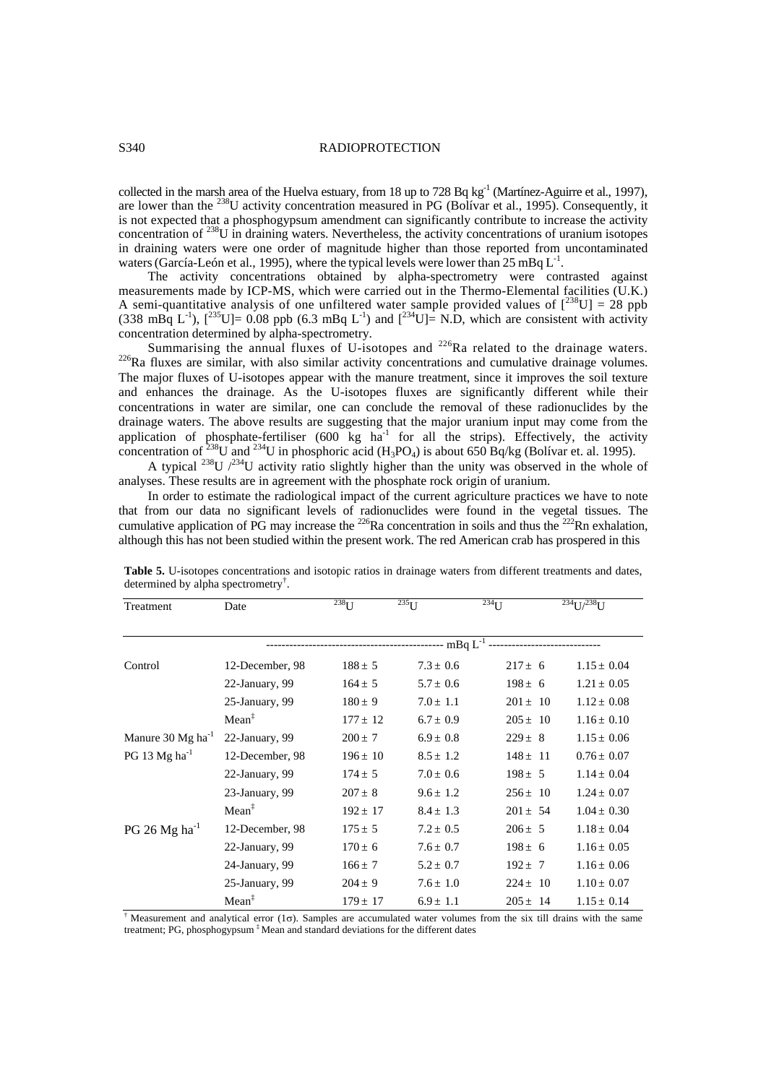## S340 RADIOPROTECTION

collected in the marsh area of the Huelva estuary, from 18 up to 728 Bq  $kg^{-1}$  (Martínez-Aguirre et al., 1997), are lower than the <sup>238</sup>U activity concentration measured in PG (Bolívar et al., 1995). Consequently, it is not expected that a phosphogypsum amendment can significantly contribute to increase the activity concentration of 238U in draining waters. Nevertheless, the activity concentrations of uranium isotopes in draining waters were one order of magnitude higher than those reported from uncontaminated waters (García-León et al., 1995), where the typical levels were lower than  $25 \text{ mBq L}^{-1}$ .

The activity concentrations obtained by alpha-spectrometry were contrasted against measurements made by ICP-MS, which were carried out in the Thermo-Elemental facilities (U.K.) A semi-quantitative analysis of one unfiltered water sample provided values of  $[^{238}U] = 28$  ppb  $(338 \text{ m} \text{Bq } L^{-1})$ ,  $[^{235}U] = 0.08 \text{ pb} (6.3 \text{ m} \text{Bq } L^{-1})$  and  $[^{234}U] =$  N.D, which are consistent with activity concentration determined by alpha-spectrometry.<br>Summarising the annual fluxes of U-isotopes and <sup>226</sup>Ra related to the drainage waters.

 $^{226}$ Ra fluxes are similar, with also similar activity concentrations and cumulative drainage volumes. The major fluxes of U-isotopes appear with the manure treatment, since it improves the soil texture and enhances the drainage. As the U-isotopes fluxes are significantly different while their concentrations in water are similar, one can conclude the removal of these radionuclides by the drainage waters. The above results are suggesting that the major uranium input may come from the application of phosphate-fertiliser  $(600 \text{ kg} \text{ ha}^{-1}$  for all the strips). Effectively, the activity concentration of <sup>238</sup>U and <sup>234</sup>U in phosphoric acid (H<sub>3</sub>PO<sub>4</sub>) is about 650 Bq/kg (Bolívar et. al. 1995).

A typical <sup>238</sup>U  $/2^{34}$ U activity ratio slightly higher than the unity was observed in the whole of analyses. These results are in agreement with the phosphate rock origin of uranium.

In order to estimate the radiological impact of the current agriculture practices we have to note that from our data no significant levels of radionuclides were found in the vegetal tissues. The cumulative application of PG may increase the  $^{226}$ Ra concentration in soils and thus the  $^{222}$ Rn exhalation, although this has not been studied within the present work. The red American crab has prospered in this

| Treatment                       | Date              | $^{238}$ U   | $^{235}$ U                      | $234$ U      | $^{234}$ I I/ $^{238}$ U |
|---------------------------------|-------------------|--------------|---------------------------------|--------------|--------------------------|
|                                 |                   |              | ------------------ mBq $L^{-1}$ |              |                          |
| Control                         | 12-December, 98   | $188 \pm 5$  | $7.3 \pm 0.6$                   | $217 \pm 6$  | $1.15 \pm 0.04$          |
|                                 | 22-January, 99    | $164 \pm 5$  | $5.7 \pm 0.6$                   | $198 \pm 6$  | $1.21 \pm 0.05$          |
|                                 | 25-January, 99    | $180 \pm 9$  | $7.0 \pm 1.1$                   | $201 \pm 10$ | $1.12 \pm 0.08$          |
|                                 | Mean <sup>‡</sup> | $177 \pm 12$ | $6.7 \pm 0.9$                   | $205 \pm 10$ | $1.16 \pm 0.10$          |
| Manure $30$ Mg ha <sup>-1</sup> | 22-January, 99    | $200 \pm 7$  | $6.9 \pm 0.8$                   | $229 \pm 8$  | $1.15 \pm 0.06$          |
| PG 13 $Mg$ ha <sup>-1</sup>     | 12-December, 98   | $196 \pm 10$ | $8.5 \pm 1.2$                   | $148 \pm 11$ | $0.76 \pm 0.07$          |
|                                 | 22-January, 99    | $174 \pm 5$  | $7.0 \pm 0.6$                   | $198 \pm 5$  | $1.14 \pm 0.04$          |
|                                 | 23-January, 99    | $207 \pm 8$  | $9.6 \pm 1.2$                   | $256 \pm 10$ | $1.24 \pm 0.07$          |
|                                 | $Mean^{\ddagger}$ | $192 \pm 17$ | $8.4 \pm 1.3$                   | $201 \pm 54$ | $1.04 \pm 0.30$          |
| $PG 26 Mg ha^{-1}$              | 12-December, 98   | $175 \pm 5$  | $7.2 \pm 0.5$                   | $206 \pm 5$  | $1.18 \pm 0.04$          |
|                                 | 22-January, 99    | $170 \pm 6$  | $7.6 \pm 0.7$                   | $198 \pm 6$  | $1.16 \pm 0.05$          |
|                                 | 24-January, 99    | $166 \pm 7$  | $5.2 \pm 0.7$                   | $192 \pm 7$  | $1.16 \pm 0.06$          |
|                                 | 25-January, 99    | $204 \pm 9$  | $7.6 \pm 1.0$                   | $224 \pm 10$ | $1.10 \pm 0.07$          |
|                                 | Mean <sup>‡</sup> | $179 \pm 17$ | $6.9 \pm 1.1$                   | $205 \pm 14$ | $1.15 \pm 0.14$          |

**Table 5.** U-isotopes concentrations and isotopic ratios in drainage waters from different treatments and dates, determined by alpha spectrometry<sup>†</sup>.

<sup>†</sup> Measurement and analytical error (1σ). Samples are accumulated water volumes from the six till drains with the same treatment; PG, phosphogypsum ‡ Mean and standard deviations for the different dates